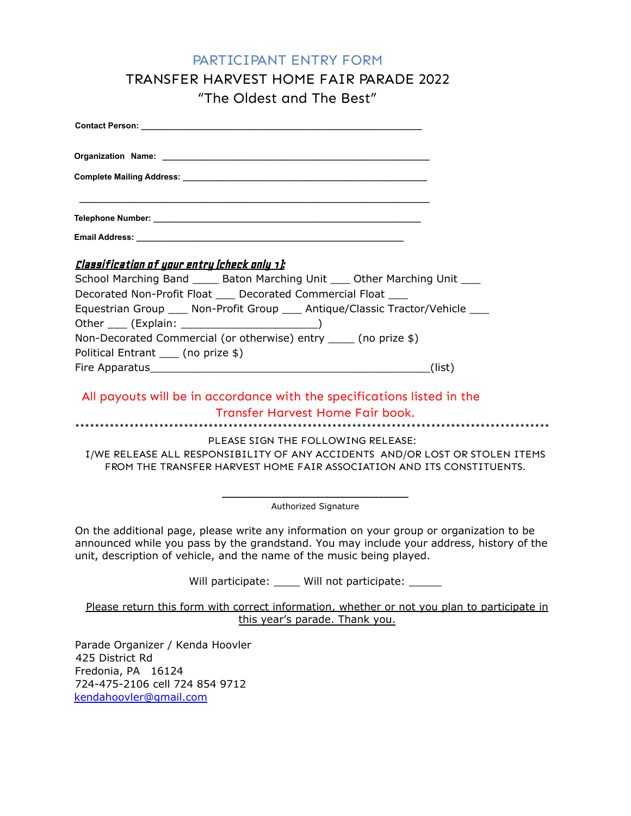## PARTICIPANT ENTRY FORM

## TRANSFER HARVEST HOME FAIR PARADE 2022 "The Oldest and The Best"

| <u>Classification of your entry [check only 1]:</u>                                                                                                                                                                                                           |        |
|---------------------------------------------------------------------------------------------------------------------------------------------------------------------------------------------------------------------------------------------------------------|--------|
| School Marching Band _____ Baton Marching Unit ____ Other Marching Unit ___                                                                                                                                                                                   |        |
| Decorated Non-Profit Float ___ Decorated Commercial Float ___                                                                                                                                                                                                 |        |
| Equestrian Group ____ Non-Profit Group ____ Antique/Classic Tractor/Vehicle ____                                                                                                                                                                              |        |
|                                                                                                                                                                                                                                                               |        |
| Non-Decorated Commercial (or otherwise) entry _____ (no prize \$)<br>Political Entrant ____ (no prize \$)                                                                                                                                                     |        |
|                                                                                                                                                                                                                                                               | (list) |
|                                                                                                                                                                                                                                                               |        |
| All payouts will be in accordance with the specifications listed in the                                                                                                                                                                                       |        |
| Transfer Harvest Home Fair book.                                                                                                                                                                                                                              |        |
|                                                                                                                                                                                                                                                               |        |
| PLEASE SIGN THE FOLLOWING RELEASE:                                                                                                                                                                                                                            |        |
| I/WE RELEASE ALL RESPONSIBILITY OF ANY ACCIDENTS AND/OR LOST OR STOLEN ITEMS<br>FROM THE TRANSFER HARVEST HOME FAIR ASSOCIATION AND ITS CONSTITUENTS.                                                                                                         |        |
|                                                                                                                                                                                                                                                               |        |
|                                                                                                                                                                                                                                                               |        |
| Authorized Signature                                                                                                                                                                                                                                          |        |
| On the additional page, please write any information on your group or organization to be<br>announced while you pass by the grandstand. You may include your address, history of the<br>unit, description of vehicle, and the name of the music being played. |        |
| Will participate: ____ Will not participate: _____                                                                                                                                                                                                            |        |

Please return this form with correct information, whether or not you plan to participate in this year's parade. Thank you.

Parade Organizer / Kenda Hoovler 425 District Rd Fredonia, PA 16124 724-475-2106 cell 724 854 9712 kendahoovler@gmail.com